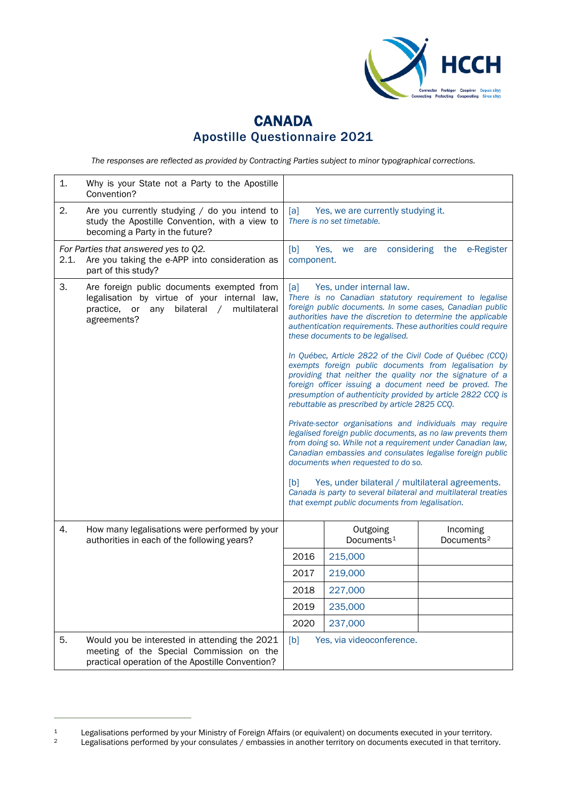

## **CANADA** Apostille Questionnaire 2021

*The responses are reflected as provided by Contracting Parties subject to minor typographical corrections.*

| 1.   | Why is your State not a Party to the Apostille<br>Convention?                                                                                                |                                                                                                                                                                                                                                                                                                                          |                                                                                                                                                                                                                                                                                                                                                           |                                    |
|------|--------------------------------------------------------------------------------------------------------------------------------------------------------------|--------------------------------------------------------------------------------------------------------------------------------------------------------------------------------------------------------------------------------------------------------------------------------------------------------------------------|-----------------------------------------------------------------------------------------------------------------------------------------------------------------------------------------------------------------------------------------------------------------------------------------------------------------------------------------------------------|------------------------------------|
| 2.   | Are you currently studying / do you intend to<br>study the Apostille Convention, with a view to<br>becoming a Party in the future?                           | [a]                                                                                                                                                                                                                                                                                                                      | Yes, we are currently studying it.<br>There is no set timetable.                                                                                                                                                                                                                                                                                          |                                    |
| 2.1. | For Parties that answered yes to Q2.<br>Are you taking the e-APP into consideration as<br>part of this study?                                                | [b]<br>component.                                                                                                                                                                                                                                                                                                        | Yes,<br>we<br>are                                                                                                                                                                                                                                                                                                                                         | considering the e-Register         |
| 3.   | Are foreign public documents exempted from<br>legalisation by virtue of your internal law,<br>bilateral / multilateral<br>practice, or<br>any<br>agreements? | [a]<br>Yes, under internal law.<br>There is no Canadian statutory requirement to legalise<br>foreign public documents. In some cases, Canadian public<br>authorities have the discretion to determine the applicable<br>authentication requirements. These authorities could require<br>these documents to be legalised. |                                                                                                                                                                                                                                                                                                                                                           |                                    |
|      |                                                                                                                                                              |                                                                                                                                                                                                                                                                                                                          | In Québec, Article 2822 of the Civil Code of Québec (CCQ)<br>exempts foreign public documents from legalisation by<br>providing that neither the quality nor the signature of a<br>foreign officer issuing a document need be proved. The<br>presumption of authenticity provided by article 2822 CCQ is<br>rebuttable as prescribed by article 2825 CCQ. |                                    |
|      |                                                                                                                                                              |                                                                                                                                                                                                                                                                                                                          | Private-sector organisations and individuals may require<br>legalised foreign public documents, as no law prevents them<br>from doing so. While not a requirement under Canadian law,<br>Canadian embassies and consulates legalise foreign public<br>documents when requested to do so.                                                                  |                                    |
|      |                                                                                                                                                              | [b]                                                                                                                                                                                                                                                                                                                      | Yes, under bilateral / multilateral agreements.<br>Canada is party to several bilateral and multilateral treaties<br>that exempt public documents from legalisation.                                                                                                                                                                                      |                                    |
| 4.   | How many legalisations were performed by your<br>authorities in each of the following years?                                                                 |                                                                                                                                                                                                                                                                                                                          | Outgoing<br>Documents <sup>1</sup>                                                                                                                                                                                                                                                                                                                        | Incoming<br>Documents <sup>2</sup> |
|      |                                                                                                                                                              | 2016                                                                                                                                                                                                                                                                                                                     | 215,000                                                                                                                                                                                                                                                                                                                                                   |                                    |
|      |                                                                                                                                                              | 2017                                                                                                                                                                                                                                                                                                                     | 219,000                                                                                                                                                                                                                                                                                                                                                   |                                    |
|      |                                                                                                                                                              | 2018                                                                                                                                                                                                                                                                                                                     | 227,000                                                                                                                                                                                                                                                                                                                                                   |                                    |
|      |                                                                                                                                                              | 2019                                                                                                                                                                                                                                                                                                                     | 235,000                                                                                                                                                                                                                                                                                                                                                   |                                    |
|      |                                                                                                                                                              | 2020                                                                                                                                                                                                                                                                                                                     | 237,000                                                                                                                                                                                                                                                                                                                                                   |                                    |
| 5.   | Would you be interested in attending the 2021<br>meeting of the Special Commission on the<br>practical operation of the Apostille Convention?                | [b]                                                                                                                                                                                                                                                                                                                      | Yes, via videoconference.                                                                                                                                                                                                                                                                                                                                 |                                    |

<span id="page-0-0"></span><sup>1</sup> Legalisations performed by your Ministry of Foreign Affairs (or equivalent) on documents executed in your territory.<br>1 Legalisations performed by your consulates / embassies in another territory on documents executed in

<span id="page-0-1"></span>Legalisations performed by your consulates / embassies in another territory on documents executed in that territory.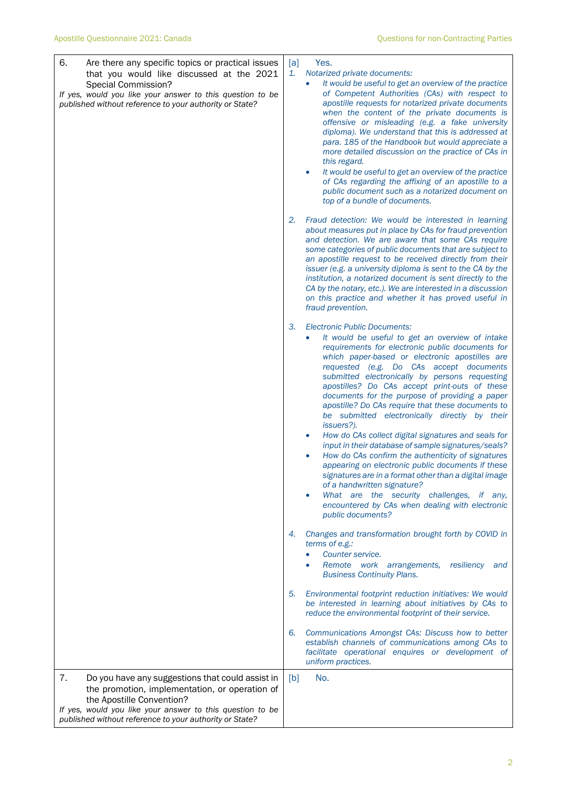| 6.<br>Are there any specific topics or practical issues<br>that you would like discussed at the 2021<br>Special Commission?<br>If yes, would you like your answer to this question to be<br>published without reference to your authority or State? | [a]<br>Yes.<br>1.<br>Notarized private documents:<br>It would be useful to get an overview of the practice<br>of Competent Authorities (CAs) with respect to<br>apostille requests for notarized private documents<br>when the content of the private documents is<br>offensive or misleading (e.g. a fake university<br>diploma). We understand that this is addressed at<br>para. 185 of the Handbook but would appreciate a<br>more detailed discussion on the practice of CAs in<br>this regard.<br>It would be useful to get an overview of the practice<br>$\bullet$<br>of CAs regarding the affixing of an apostille to a<br>public document such as a notarized document on<br>top of a bundle of documents.                                                                                                                                                                                                                                                                         |
|-----------------------------------------------------------------------------------------------------------------------------------------------------------------------------------------------------------------------------------------------------|----------------------------------------------------------------------------------------------------------------------------------------------------------------------------------------------------------------------------------------------------------------------------------------------------------------------------------------------------------------------------------------------------------------------------------------------------------------------------------------------------------------------------------------------------------------------------------------------------------------------------------------------------------------------------------------------------------------------------------------------------------------------------------------------------------------------------------------------------------------------------------------------------------------------------------------------------------------------------------------------|
|                                                                                                                                                                                                                                                     | Fraud detection: We would be interested in learning<br>2.<br>about measures put in place by CAs for fraud prevention<br>and detection. We are aware that some CAs require<br>some categories of public documents that are subject to<br>an apostille request to be received directly from their<br>issuer (e.g. a university diploma is sent to the CA by the<br>institution, a notarized document is sent directly to the<br>CA by the notary, etc.). We are interested in a discussion<br>on this practice and whether it has proved useful in<br>fraud prevention.                                                                                                                                                                                                                                                                                                                                                                                                                        |
|                                                                                                                                                                                                                                                     | 3.<br><b>Electronic Public Documents:</b><br>It would be useful to get an overview of intake<br>$\bullet$<br>requirements for electronic public documents for<br>which paper-based or electronic apostilles are<br>requested (e.g. Do CAs accept documents<br>submitted electronically by persons requesting<br>apostilles? Do CAs accept print-outs of these<br>documents for the purpose of providing a paper<br>apostille? Do CAs require that these documents to<br>be submitted electronically directly by their<br><i>issuers?).</i><br>How do CAs collect digital signatures and seals for<br>input in their database of sample signatures/seals?<br>How do CAs confirm the authenticity of signatures<br>$\bullet$<br>appearing on electronic public documents if these<br>signatures are in a format other than a digital image<br>of a handwritten signature?<br>What are the security challenges, if any,<br>encountered by CAs when dealing with electronic<br>public documents? |
|                                                                                                                                                                                                                                                     | Changes and transformation brought forth by COVID in<br>4.<br>terms of e.g.:<br>Counter service.<br>Remote work arrangements,<br>resiliency<br>and<br>$\bullet$<br><b>Business Continuity Plans.</b>                                                                                                                                                                                                                                                                                                                                                                                                                                                                                                                                                                                                                                                                                                                                                                                         |
|                                                                                                                                                                                                                                                     | Environmental footprint reduction initiatives: We would<br>5.<br>be interested in learning about initiatives by CAs to<br>reduce the environmental footprint of their service.                                                                                                                                                                                                                                                                                                                                                                                                                                                                                                                                                                                                                                                                                                                                                                                                               |
|                                                                                                                                                                                                                                                     | Communications Amongst CAs: Discuss how to better<br>6.<br>establish channels of communications among CAs to<br>facilitate operational enquires or development of<br>uniform practices.                                                                                                                                                                                                                                                                                                                                                                                                                                                                                                                                                                                                                                                                                                                                                                                                      |
| 7.<br>Do you have any suggestions that could assist in<br>the promotion, implementation, or operation of<br>the Apostille Convention?                                                                                                               | [b]<br>No.                                                                                                                                                                                                                                                                                                                                                                                                                                                                                                                                                                                                                                                                                                                                                                                                                                                                                                                                                                                   |
| If yes, would you like your answer to this question to be<br>published without reference to your authority or State?                                                                                                                                |                                                                                                                                                                                                                                                                                                                                                                                                                                                                                                                                                                                                                                                                                                                                                                                                                                                                                                                                                                                              |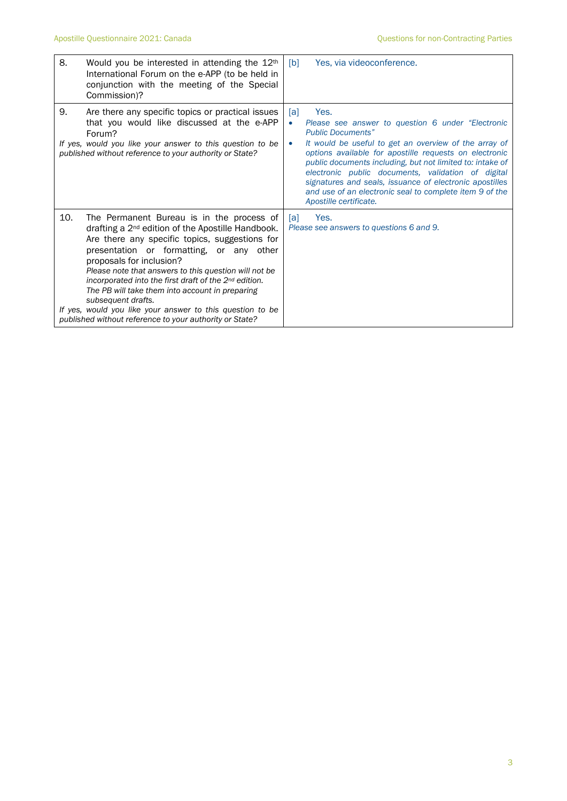| 8.  | Would you be interested in attending the 12 <sup>th</sup><br>International Forum on the e-APP (to be held in<br>conjunction with the meeting of the Special<br>Commission)?                                                                                                                                                                                                                                                                                                                                                                               | [b]                   | Yes, via videoconference.                                                                                                                                                                                                                                                                                                                                                                                                                                                    |
|-----|-----------------------------------------------------------------------------------------------------------------------------------------------------------------------------------------------------------------------------------------------------------------------------------------------------------------------------------------------------------------------------------------------------------------------------------------------------------------------------------------------------------------------------------------------------------|-----------------------|------------------------------------------------------------------------------------------------------------------------------------------------------------------------------------------------------------------------------------------------------------------------------------------------------------------------------------------------------------------------------------------------------------------------------------------------------------------------------|
| 9.  | Are there any specific topics or practical issues<br>that you would like discussed at the e-APP<br>Forum?<br>If yes, would you like your answer to this question to be<br>published without reference to your authority or State?                                                                                                                                                                                                                                                                                                                         | [a]<br>$\bullet$<br>۰ | Yes.<br>Please see answer to question 6 under "Electronic"<br><b>Public Documents"</b><br>It would be useful to get an overview of the array of<br>options available for apostille requests on electronic<br>public documents including, but not limited to: intake of<br>electronic public documents, validation of digital<br>signatures and seals, issuance of electronic apostilles<br>and use of an electronic seal to complete item 9 of the<br>Apostille certificate. |
| 10. | The Permanent Bureau is in the process of<br>drafting a $2nd$ edition of the Apostille Handbook.<br>Are there any specific topics, suggestions for<br>presentation or formatting, or any other<br>proposals for inclusion?<br>Please note that answers to this question will not be<br>incorporated into the first draft of the 2 <sup>nd</sup> edition.<br>The PB will take them into account in preparing<br>subsequent drafts.<br>If yes, would you like your answer to this question to be<br>published without reference to your authority or State? | Tal I                 | Yes.<br>Please see answers to questions 6 and 9.                                                                                                                                                                                                                                                                                                                                                                                                                             |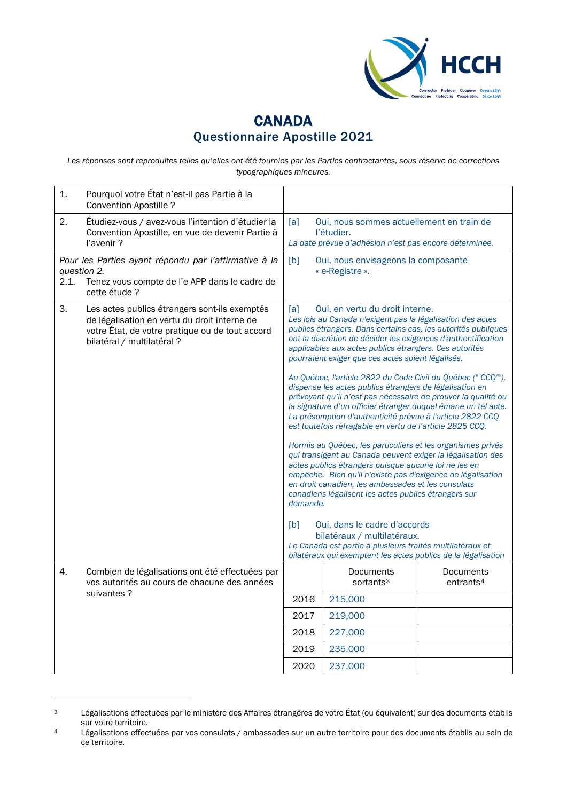

## **CANADA** Questionnaire Apostille 2021

Les réponses sont reproduites telles qu'elles ont été fournies par les Parties contractantes, sous réserve de corrections *typographiques mineures.*

<span id="page-3-0"></span>

| 1.                                                                                                                                            | Pourquoi votre État n'est-il pas Partie à la<br><b>Convention Apostille?</b>                                                                                                   |                                                                                                                                                                                                                                                                                                                                                                                                                                                                                                                                                                                                                                                                                                                                                                                                                                                                                                                                                                                                  |                                                                                                                                                                                                                                                                                                         |                                    |
|-----------------------------------------------------------------------------------------------------------------------------------------------|--------------------------------------------------------------------------------------------------------------------------------------------------------------------------------|--------------------------------------------------------------------------------------------------------------------------------------------------------------------------------------------------------------------------------------------------------------------------------------------------------------------------------------------------------------------------------------------------------------------------------------------------------------------------------------------------------------------------------------------------------------------------------------------------------------------------------------------------------------------------------------------------------------------------------------------------------------------------------------------------------------------------------------------------------------------------------------------------------------------------------------------------------------------------------------------------|---------------------------------------------------------------------------------------------------------------------------------------------------------------------------------------------------------------------------------------------------------------------------------------------------------|------------------------------------|
| 2.                                                                                                                                            | Étudiez-vous / avez-vous l'intention d'étudier la<br>Convention Apostille, en vue de devenir Partie à<br>l'avenir?                                                             | [a]                                                                                                                                                                                                                                                                                                                                                                                                                                                                                                                                                                                                                                                                                                                                                                                                                                                                                                                                                                                              | Oui, nous sommes actuellement en train de<br>l'étudier.<br>La date prévue d'adhésion n'est pas encore déterminée.                                                                                                                                                                                       |                                    |
| Pour les Parties ayant répondu par l'affirmative à la<br>question 2.<br>2.1.<br>Tenez-vous compte de l'e-APP dans le cadre de<br>cette étude? |                                                                                                                                                                                | [b]                                                                                                                                                                                                                                                                                                                                                                                                                                                                                                                                                                                                                                                                                                                                                                                                                                                                                                                                                                                              | Oui, nous envisageons la composante<br>« e-Registre ».                                                                                                                                                                                                                                                  |                                    |
| 3.                                                                                                                                            | Les actes publics étrangers sont-ils exemptés<br>de légalisation en vertu du droit interne de<br>votre État, de votre pratique ou de tout accord<br>bilatéral / multilatéral ? | [a]<br>Oui, en vertu du droit interne.<br>Les lois au Canada n'exigent pas la légalisation des actes<br>publics étrangers. Dans certains cas, les autorités publiques<br>ont la discrétion de décider les exigences d'authentification<br>applicables aux actes publics étrangers. Ces autorités<br>pourraient exiger que ces actes soient légalisés.<br>Au Québec, l'article 2822 du Code Civil du Québec (""CCQ""),<br>dispense les actes publics étrangers de légalisation en<br>prévoyant qu'il n'est pas nécessaire de prouver la qualité ou<br>la signature d'un officier étranger duquel émane un tel acte.<br>La présomption d'authenticité prévue à l'article 2822 CCQ<br>est toutefois réfragable en vertu de l'article 2825 CCQ.<br>Hormis au Québec, les particuliers et les organismes privés<br>qui transigent au Canada peuvent exiger la légalisation des<br>actes publics étrangers puisque aucune loi ne les en<br>empêche. Bien qu'il n'existe pas d'exigence de légalisation |                                                                                                                                                                                                                                                                                                         |                                    |
|                                                                                                                                               |                                                                                                                                                                                | demande.<br>[b]                                                                                                                                                                                                                                                                                                                                                                                                                                                                                                                                                                                                                                                                                                                                                                                                                                                                                                                                                                                  | en droit canadien, les ambassades et les consulats<br>canadiens légalisent les actes publics étrangers sur<br>Oui, dans le cadre d'accords<br>bilatéraux / multilatéraux.<br>Le Canada est partie à plusieurs traités multilatéraux et<br>bilatéraux qui exemptent les actes publics de la légalisation |                                    |
| 4.                                                                                                                                            | Combien de légalisations ont été effectuées par<br>vos autorités au cours de chacune des années<br>suivantes?                                                                  |                                                                                                                                                                                                                                                                                                                                                                                                                                                                                                                                                                                                                                                                                                                                                                                                                                                                                                                                                                                                  | Documents<br>sortants <sup>3</sup>                                                                                                                                                                                                                                                                      | Documents<br>entrants <sup>4</sup> |
|                                                                                                                                               |                                                                                                                                                                                | 2016                                                                                                                                                                                                                                                                                                                                                                                                                                                                                                                                                                                                                                                                                                                                                                                                                                                                                                                                                                                             | 215,000                                                                                                                                                                                                                                                                                                 |                                    |
|                                                                                                                                               |                                                                                                                                                                                | 2017                                                                                                                                                                                                                                                                                                                                                                                                                                                                                                                                                                                                                                                                                                                                                                                                                                                                                                                                                                                             | 219,000                                                                                                                                                                                                                                                                                                 |                                    |
|                                                                                                                                               |                                                                                                                                                                                | 2018                                                                                                                                                                                                                                                                                                                                                                                                                                                                                                                                                                                                                                                                                                                                                                                                                                                                                                                                                                                             | 227,000                                                                                                                                                                                                                                                                                                 |                                    |
|                                                                                                                                               |                                                                                                                                                                                | 2019                                                                                                                                                                                                                                                                                                                                                                                                                                                                                                                                                                                                                                                                                                                                                                                                                                                                                                                                                                                             | 235,000                                                                                                                                                                                                                                                                                                 |                                    |
|                                                                                                                                               |                                                                                                                                                                                | 2020                                                                                                                                                                                                                                                                                                                                                                                                                                                                                                                                                                                                                                                                                                                                                                                                                                                                                                                                                                                             | 237,000                                                                                                                                                                                                                                                                                                 |                                    |

<span id="page-3-1"></span><sup>&</sup>lt;sup>3</sup> Légalisations effectuées par le ministère des Affaires étrangères de votre État (ou équivalent) sur des documents établis sur votre territoire.

<span id="page-3-2"></span><sup>4</sup> Légalisations effectuées par vos consulats / ambassades sur un autre territoire pour des documents établis au sein de ce territoire.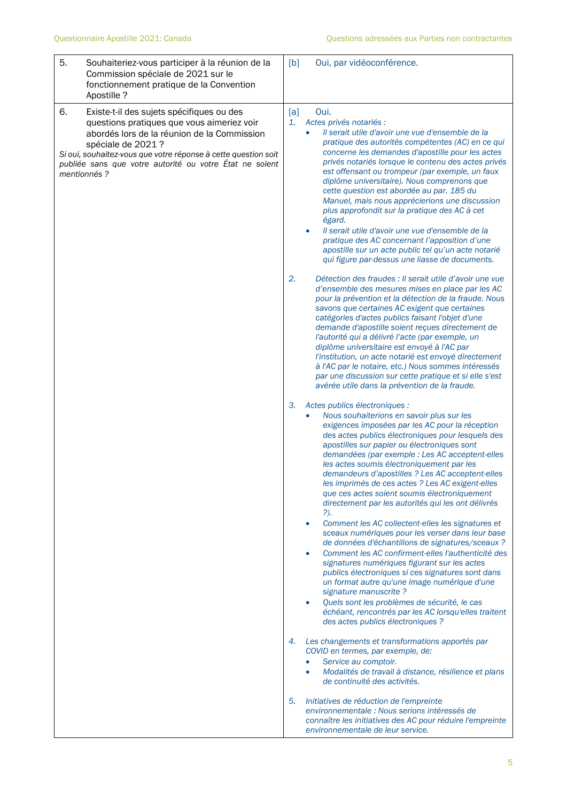| 5.<br>Souhaiteriez-vous participer à la réunion de la<br>Commission spéciale de 2021 sur le<br>fonctionnement pratique de la Convention<br>Apostille?                                                                                                                                                          | Oui, par vidéoconférence.<br>[b]                                                                                                                                                                                                                                                                                                                                                                                                                                                                                                                                                                                                                                                                                                                                                                                                                                                                                                                                                                                                                                                                                                                                                                                                                                                     |
|----------------------------------------------------------------------------------------------------------------------------------------------------------------------------------------------------------------------------------------------------------------------------------------------------------------|--------------------------------------------------------------------------------------------------------------------------------------------------------------------------------------------------------------------------------------------------------------------------------------------------------------------------------------------------------------------------------------------------------------------------------------------------------------------------------------------------------------------------------------------------------------------------------------------------------------------------------------------------------------------------------------------------------------------------------------------------------------------------------------------------------------------------------------------------------------------------------------------------------------------------------------------------------------------------------------------------------------------------------------------------------------------------------------------------------------------------------------------------------------------------------------------------------------------------------------------------------------------------------------|
| 6.<br>Existe-t-il des sujets spécifiques ou des<br>questions pratiques que vous aimeriez voir<br>abordés lors de la réunion de la Commission<br>spéciale de 2021 ?<br>Si oui, souhaitez-vous que votre réponse à cette question soit<br>publiée sans que votre autorité ou votre État ne soient<br>mentionnés? | [a]<br>Oui.<br>Actes privés notariés :<br>1.<br>Il serait utile d'avoir une vue d'ensemble de la<br>$\bullet$<br>pratique des autorités compétentes (AC) en ce qui<br>concerne les demandes d'apostille pour les actes<br>privés notariés lorsque le contenu des actes privés<br>est offensant ou trompeur (par exemple, un faux<br>diplôme universitaire). Nous comprenons que<br>cette question est abordée au par. 185 du<br>Manuel, mais nous apprécierions une discussion<br>plus approfondit sur la pratique des AC à cet<br>égard.<br>Il serait utile d'avoir une vue d'ensemble de la<br>$\bullet$<br>pratique des AC concernant l'apposition d'une<br>apostille sur un acte public tel qu'un acte notarié<br>qui figure par-dessus une liasse de documents.                                                                                                                                                                                                                                                                                                                                                                                                                                                                                                                 |
|                                                                                                                                                                                                                                                                                                                | 2.<br>Détection des fraudes : Il serait utile d'avoir une vue<br>d'ensemble des mesures mises en place par les AC<br>pour la prévention et la détection de la fraude. Nous<br>savons que certaines AC exigent que certaines<br>catégories d'actes publics faisant l'objet d'une<br>demande d'apostille soient reçues directement de<br>l'autorité qui a délivré l'acte (par exemple, un<br>diplôme universitaire est envoyé à l'AC par<br>l'institution, un acte notarié est envoyé directement<br>à l'AC par le notaire, etc.) Nous sommes intéressés<br>par une discussion sur cette pratique et si elle s'est<br>avérée utile dans la prévention de la fraude.                                                                                                                                                                                                                                                                                                                                                                                                                                                                                                                                                                                                                    |
|                                                                                                                                                                                                                                                                                                                | З.<br>Actes publics électroniques :<br>Nous souhaiterions en savoir plus sur les<br>$\bullet$<br>exigences imposées par les AC pour la réception<br>des actes publics électroniques pour lesquels des<br>apostilles sur papier ou électroniques sont<br>demandées (par exemple : Les AC acceptent-elles<br>les actes soumis électroniquement par les<br>demandeurs d'apostilles ? Les AC acceptent-elles<br>les imprimés de ces actes ? Les AC exigent-elles<br>que ces actes soient soumis électroniquement<br>directement par les autorités qui les ont délivrés<br>?).<br>Comment les AC collectent-elles les signatures et<br>$\bullet$<br>sceaux numériques pour les verser dans leur base<br>de données d'échantillons de signatures/sceaux ?<br>Comment les AC confirment-elles l'authenticité des<br>$\bullet$<br>signatures numériques figurant sur les actes<br>publics électroniques si ces signatures sont dans<br>un format autre qu'une image numérique d'une<br>signature manuscrite?<br>Quels sont les problèmes de sécurité, le cas<br>échéant, rencontrés par les AC lorsqu'elles traitent<br>des actes publics électroniques ?<br>Les changements et transformations apportés par<br>4.<br>COVID en termes, par exemple, de:<br>Service au comptoir.<br>$\bullet$ |
|                                                                                                                                                                                                                                                                                                                | Modalités de travail à distance, résilience et plans<br>$\bullet$<br>de continuité des activités.                                                                                                                                                                                                                                                                                                                                                                                                                                                                                                                                                                                                                                                                                                                                                                                                                                                                                                                                                                                                                                                                                                                                                                                    |
|                                                                                                                                                                                                                                                                                                                | Initiatives de réduction de l'empreinte<br>5.<br>environnementale : Nous serions intéressés de<br>connaître les initiatives des AC pour réduire l'empreinte<br>environnementale de leur service.                                                                                                                                                                                                                                                                                                                                                                                                                                                                                                                                                                                                                                                                                                                                                                                                                                                                                                                                                                                                                                                                                     |